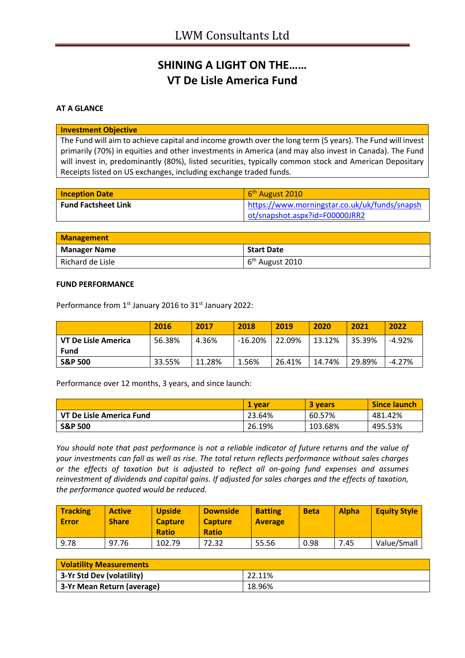# **SHINING A LIGHT ON THE…… VT De Lisle America Fund**

## **AT A GLANCE**

#### **Investment Objective**

The Fund will aim to achieve capital and income growth over the long term (5 years). The Fund will invest primarily (70%) in equities and other investments in America (and may also invest in Canada). The Fund will invest in, predominantly (80%), listed securities, typically common stock and American Depositary Receipts listed on US exchanges, including exchange traded funds.

| <b>Inception Date</b>      | 6 <sup>th</sup> August 2010                   |
|----------------------------|-----------------------------------------------|
| <b>Fund Factsheet Link</b> | https://www.morningstar.co.uk/uk/funds/snapsh |
|                            | ot/snapshot.aspx?id=F00000JRR2                |

| <b>Management</b>   |                             |  |
|---------------------|-----------------------------|--|
| <b>Manager Name</b> | <b>Start Date</b>           |  |
| Richard de Lisle    | 6 <sup>th</sup> August 2010 |  |

#### **FUND PERFORMANCE**

Performance from 1<sup>st</sup> January 2016 to 31<sup>st</sup> January 2022:

|                       | 2016   | 2017   | 2018      | 2019   | 2020   | 2021   | 2022     |
|-----------------------|--------|--------|-----------|--------|--------|--------|----------|
| l VT De Lisle America | 56.38% | 4.36%  | $-16.20%$ | 22.09% | 13.12% | 35.39% | $-4.92%$ |
| <b>Fund</b>           |        |        |           |        |        |        |          |
| <b>S&amp;P 500</b>    | 33.55% | 11.28% | 1.56%     | 26.41% | 14.74% | 29.89% | $-4.27%$ |

Performance over 12 months, 3 years, and since launch:

|                          | 1 vear | 3 years | <b>Since launch</b> |
|--------------------------|--------|---------|---------------------|
| VT De Lisle America Fund | 23.64% | 60.57%  | 481.42%             |
| <b>S&amp;P 500</b>       | 26.19% | 103.68% | 495.53%             |

*You should note that past performance is not a reliable indicator of future returns and the value of your investments can fall as well as rise. The total return reflects performance without sales charges or the effects of taxation but is adjusted to reflect all on-going fund expenses and assumes reinvestment of dividends and capital gains. If adjusted for sales charges and the effects of taxation, the performance quoted would be reduced.*

| <b>Tracking</b><br>l Error | <b>Active</b><br><b>Share</b> | <b>Upside</b><br><b>Capture</b><br><b>Ratio</b> | <b>Downside</b><br><b>Capture</b><br><b>Ratio</b> | <b>Batting</b><br><b>Average</b> | <b>Beta</b> | <b>Alpha</b> | <b>Equity Style</b> |
|----------------------------|-------------------------------|-------------------------------------------------|---------------------------------------------------|----------------------------------|-------------|--------------|---------------------|
| 9.78                       | 97.76                         | 102.79                                          | 72.32                                             | 55.56                            | 0.98        | 7.45         | Value/Small         |

| <b>Volatility Measurements</b> |        |  |
|--------------------------------|--------|--|
| 3-Yr Std Dev (volatility)      | 22.11% |  |
| 3-Yr Mean Return (average)     | 18.96% |  |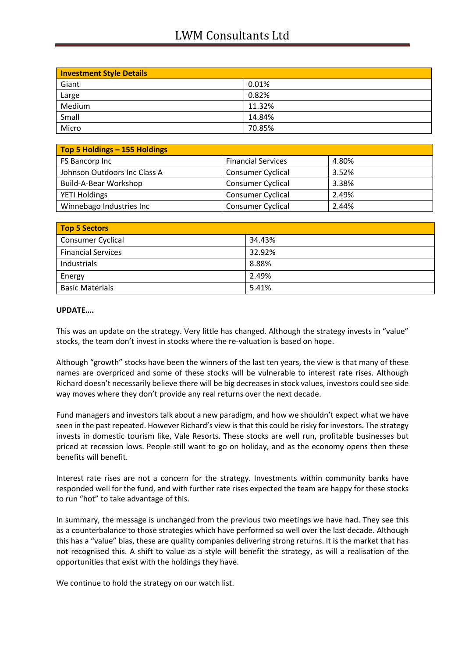## LWM Consultants Ltd

| <b>Investment Style Details</b> |        |  |
|---------------------------------|--------|--|
| Giant                           | 0.01%  |  |
| Large                           | 0.82%  |  |
| Medium                          | 11.32% |  |
| Small                           | 14.84% |  |
| Micro                           | 70.85% |  |

| Top 5 Holdings - 155 Holdings |                           |       |
|-------------------------------|---------------------------|-------|
| FS Bancorp Inc                | <b>Financial Services</b> | 4.80% |
| Johnson Outdoors Inc Class A  | <b>Consumer Cyclical</b>  | 3.52% |
| Build-A-Bear Workshop         | <b>Consumer Cyclical</b>  | 3.38% |
| <b>YETI Holdings</b>          | <b>Consumer Cyclical</b>  | 2.49% |
| Winnebago Industries Inc      | <b>Consumer Cyclical</b>  | 2.44% |

| Top 5 Sectors             |        |
|---------------------------|--------|
| <b>Consumer Cyclical</b>  | 34.43% |
| <b>Financial Services</b> | 32.92% |
| Industrials               | 8.88%  |
| Energy                    | 2.49%  |
| <b>Basic Materials</b>    | 5.41%  |

## **UPDATE….**

This was an update on the strategy. Very little has changed. Although the strategy invests in "value" stocks, the team don't invest in stocks where the re-valuation is based on hope.

Although "growth" stocks have been the winners of the last ten years, the view is that many of these names are overpriced and some of these stocks will be vulnerable to interest rate rises. Although Richard doesn't necessarily believe there will be big decreases in stock values, investors could see side way moves where they don't provide any real returns over the next decade.

Fund managers and investors talk about a new paradigm, and how we shouldn't expect what we have seen in the past repeated. However Richard's view is that this could be risky for investors. The strategy invests in domestic tourism like, Vale Resorts. These stocks are well run, profitable businesses but priced at recession lows. People still want to go on holiday, and as the economy opens then these benefits will benefit.

Interest rate rises are not a concern for the strategy. Investments within community banks have responded well for the fund, and with further rate rises expected the team are happy for these stocks to run "hot" to take advantage of this.

In summary, the message is unchanged from the previous two meetings we have had. They see this as a counterbalance to those strategies which have performed so well over the last decade. Although this has a "value" bias, these are quality companies delivering strong returns. It is the market that has not recognised this. A shift to value as a style will benefit the strategy, as will a realisation of the opportunities that exist with the holdings they have.

We continue to hold the strategy on our watch list.